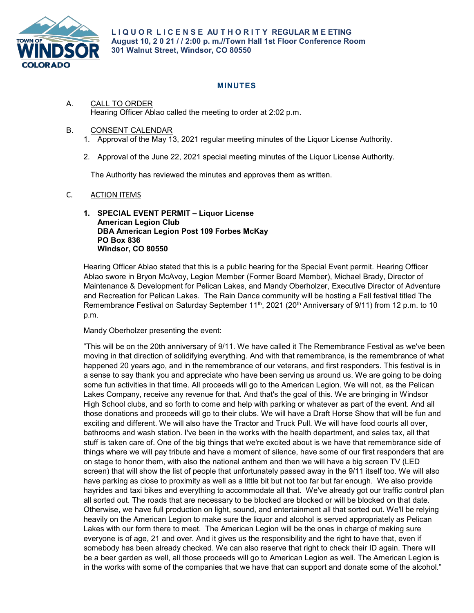

## **MINUTES**

- A. CALL TO ORDER Hearing Officer Ablao called the meeting to order at 2:02 p.m.
- B. CONSENT CALENDAR
	- 1. Approval of the May 13, 2021 regular meeting minutes of the Liquor License Authority.
	- 2. Approval of the June 22, 2021 special meeting minutes of the Liquor License Authority.

The Authority has reviewed the minutes and approves them as written.

## C. ACTION ITEMS

## **1. SPECIAL EVENT PERMIT – Liquor License American Legion Club DBA American Legion Post 109 Forbes McKay PO Box 836 Windsor, CO 80550**

Hearing Officer Ablao stated that this is a public hearing for the Special Event permit. Hearing Officer Ablao swore in Bryon McAvoy, Legion Member (Former Board Member), Michael Brady, Director of Maintenance & Development for Pelican Lakes, and Mandy Oberholzer, Executive Director of Adventure and Recreation for Pelican Lakes. The Rain Dance community will be hosting a Fall festival titled The Remembrance Festival on Saturday September  $11<sup>th</sup>$ , 2021 (20<sup>th</sup> Anniversary of 9/11) from 12 p.m. to 10 p.m.

## Mandy Oberholzer presenting the event:

"This will be on the 20th anniversary of 9/11. We have called it The Remembrance Festival as we've been moving in that direction of solidifying everything. And with that remembrance, is the remembrance of what happened 20 years ago, and in the remembrance of our veterans, and first responders. This festival is in a sense to say thank you and appreciate who have been serving us around us. We are going to be doing some fun activities in that time. All proceeds will go to the American Legion. We will not, as the Pelican Lakes Company, receive any revenue for that. And that's the goal of this. We are bringing in Windsor High School clubs, and so forth to come and help with parking or whatever as part of the event. And all those donations and proceeds will go to their clubs. We will have a Draft Horse Show that will be fun and exciting and different. We will also have the Tractor and Truck Pull. We will have food courts all over, bathrooms and wash station. I've been in the works with the health department, and sales tax, all that stuff is taken care of. One of the big things that we're excited about is we have that remembrance side of things where we will pay tribute and have a moment of silence, have some of our first responders that are on stage to honor them, with also the national anthem and then we will have a big screen TV (LED screen) that will show the list of people that unfortunately passed away in the 9/11 itself too. We will also have parking as close to proximity as well as a little bit but not too far but far enough. We also provide hayrides and taxi bikes and everything to accommodate all that. We've already got our traffic control plan all sorted out. The roads that are necessary to be blocked are blocked or will be blocked on that date. Otherwise, we have full production on light, sound, and entertainment all that sorted out. We'll be relying heavily on the American Legion to make sure the liquor and alcohol is served appropriately as Pelican Lakes with our form there to meet. The American Legion will be the ones in charge of making sure everyone is of age, 21 and over. And it gives us the responsibility and the right to have that, even if somebody has been already checked. We can also reserve that right to check their ID again. There will be a beer garden as well, all those proceeds will go to American Legion as well. The American Legion is in the works with some of the companies that we have that can support and donate some of the alcohol."